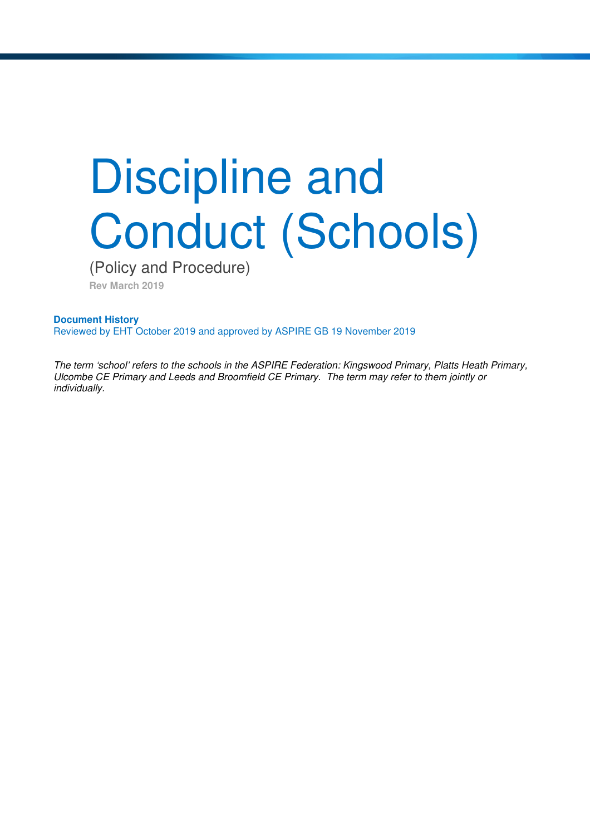# Discipline and Conduct (Schools)

(Policy and Procedure)

**Rev March 2019** 

**Document History** Reviewed by EHT October 2019 and approved by ASPIRE GB 19 November 2019

The term 'school' refers to the schools in the ASPIRE Federation: Kingswood Primary, Platts Heath Primary, Ulcombe CE Primary and Leeds and Broomfield CE Primary. The term may refer to them jointly or individually.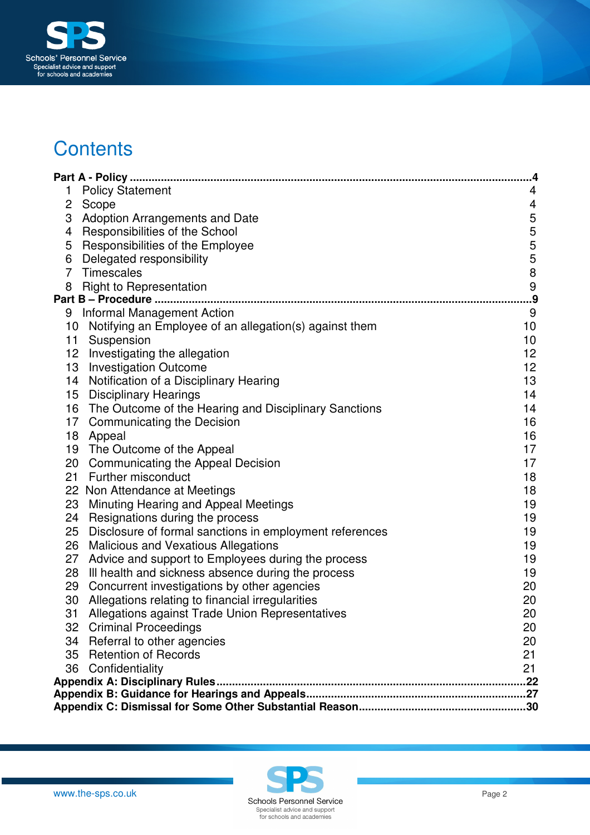

# **Contents**

|    |                                                          | 4.                      |
|----|----------------------------------------------------------|-------------------------|
| 1  | <b>Policy Statement</b>                                  | 4                       |
| 2  | Scope                                                    | $\overline{\mathbf{4}}$ |
| 3  | <b>Adoption Arrangements and Date</b>                    | $\mathbf 5$             |
| 4  | Responsibilities of the School                           | 5                       |
| 5  | Responsibilities of the Employee                         | 5                       |
| 6  | Delegated responsibility                                 | $\sqrt{5}$              |
| 7  | <b>Timescales</b>                                        | $\bf 8$                 |
| 8  | <b>Right to Representation</b>                           | $\boldsymbol{9}$        |
|    | Part B - Procedure                                       | .9                      |
| 9  | <b>Informal Management Action</b>                        | 9                       |
| 10 | Notifying an Employee of an allegation(s) against them   | 10                      |
| 11 | Suspension                                               | 10                      |
|    | 12 Investigating the allegation                          | 12                      |
| 13 | <b>Investigation Outcome</b>                             | 12                      |
|    | 14 Notification of a Disciplinary Hearing                | 13                      |
|    | 15 Disciplinary Hearings                                 | 14                      |
|    | 16 The Outcome of the Hearing and Disciplinary Sanctions | 14                      |
| 17 | <b>Communicating the Decision</b>                        | 16                      |
| 18 | Appeal                                                   | 16                      |
|    | 19 The Outcome of the Appeal                             | 17                      |
| 20 | <b>Communicating the Appeal Decision</b>                 | 17                      |
| 21 | Further misconduct                                       | 18                      |
|    | 22 Non Attendance at Meetings                            | 18                      |
| 23 | Minuting Hearing and Appeal Meetings                     | 19                      |
| 24 | Resignations during the process                          | 19                      |
| 25 | Disclosure of formal sanctions in employment references  | 19                      |
| 26 | <b>Malicious and Vexatious Allegations</b>               | 19                      |
| 27 | Advice and support to Employees during the process       | 19                      |
| 28 | Ill health and sickness absence during the process       | 19                      |
| 29 | Concurrent investigations by other agencies              | 20                      |
| 30 | Allegations relating to financial irregularities         | 20                      |
|    | 31 Allegations against Trade Union Representatives       | 20                      |
|    | 32 Criminal Proceedings                                  | 20                      |
|    | 34 Referral to other agencies                            | 20                      |
|    | 35 Retention of Records                                  | 21                      |
| 36 | Confidentiality                                          | 21                      |
|    |                                                          |                         |
|    |                                                          |                         |
|    |                                                          |                         |



www.the-sps.co.uk **Page 2 Page 2 Page 2 Page 2 Page 2 Page 2 Page 2 Page 2 Page 2 Page 2 Page 2 Page 2 Page 2 Page 2 Page 2 Page 2 Page 2 Page 2 Page 2 Page 2 Page 2 Page 2 Page** Specialist advice and support<br>for schools and academies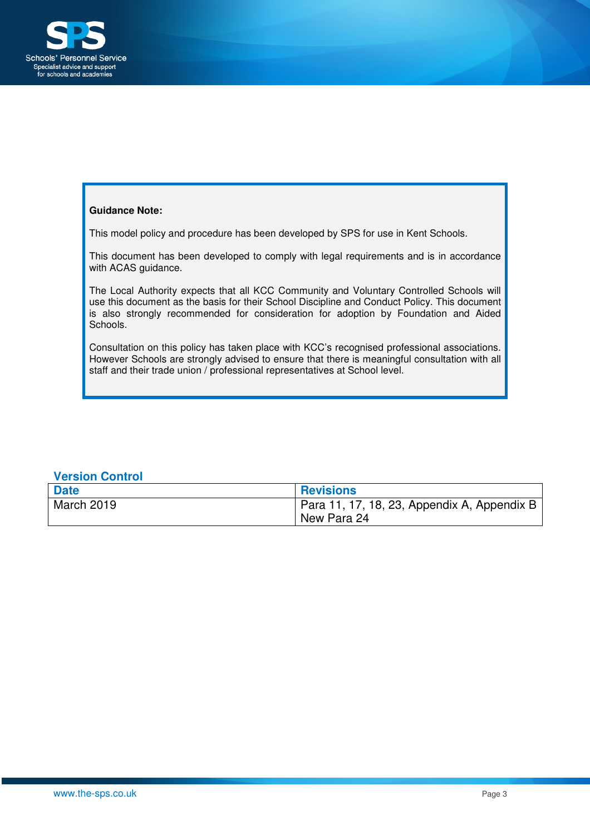

### **Guidance Note:**

This model policy and procedure has been developed by SPS for use in Kent Schools.

This document has been developed to comply with legal requirements and is in accordance with ACAS guidance.

The Local Authority expects that all KCC Community and Voluntary Controlled Schools will use this document as the basis for their School Discipline and Conduct Policy. This document is also strongly recommended for consideration for adoption by Foundation and Aided Schools.

Consultation on this policy has taken place with KCC's recognised professional associations. However Schools are strongly advised to ensure that there is meaningful consultation with all staff and their trade union / professional representatives at School level.

## **Version Control**

| <b>Date</b> | <b>Revisions</b>                            |
|-------------|---------------------------------------------|
| March 2019  | Para 11, 17, 18, 23, Appendix A, Appendix B |
|             | New Para 24                                 |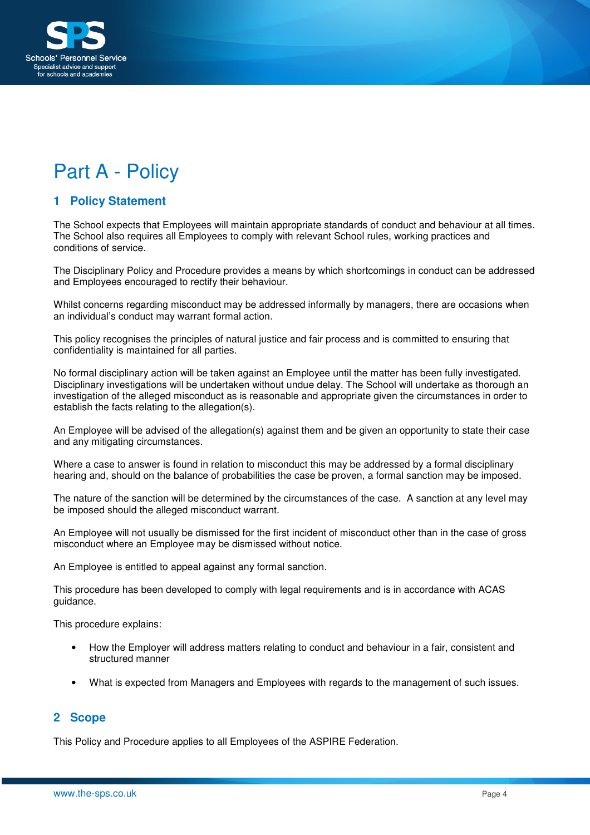

# Part A - Policy

## **1 Policy Statement**

The School expects that Employees will maintain appropriate standards of conduct and behaviour at all times. The School also requires all Employees to comply with relevant School rules, working practices and conditions of service.

The Disciplinary Policy and Procedure provides a means by which shortcomings in conduct can be addressed and Employees encouraged to rectify their behaviour.

Whilst concerns regarding misconduct may be addressed informally by managers, there are occasions when an individual's conduct may warrant formal action.

This policy recognises the principles of natural justice and fair process and is committed to ensuring that confidentiality is maintained for all parties.

No formal disciplinary action will be taken against an Employee until the matter has been fully investigated. Disciplinary investigations will be undertaken without undue delay. The School will undertake as thorough an investigation of the alleged misconduct as is reasonable and appropriate given the circumstances in order to establish the facts relating to the allegation(s).

An Employee will be advised of the allegation(s) against them and be given an opportunity to state their case and any mitigating circumstances.

Where a case to answer is found in relation to misconduct this may be addressed by a formal disciplinary hearing and, should on the balance of probabilities the case be proven, a formal sanction may be imposed.

The nature of the sanction will be determined by the circumstances of the case. A sanction at any level may be imposed should the alleged misconduct warrant.

An Employee will not usually be dismissed for the first incident of misconduct other than in the case of gross misconduct where an Employee may be dismissed without notice.

An Employee is entitled to appeal against any formal sanction.

This procedure has been developed to comply with legal requirements and is in accordance with ACAS guidance.

This procedure explains:

- How the Employer will address matters relating to conduct and behaviour in a fair, consistent and structured manner
- What is expected from Managers and Employees with regards to the management of such issues.

## **2 Scope**

This Policy and Procedure applies to all Employees of the ASPIRE Federation.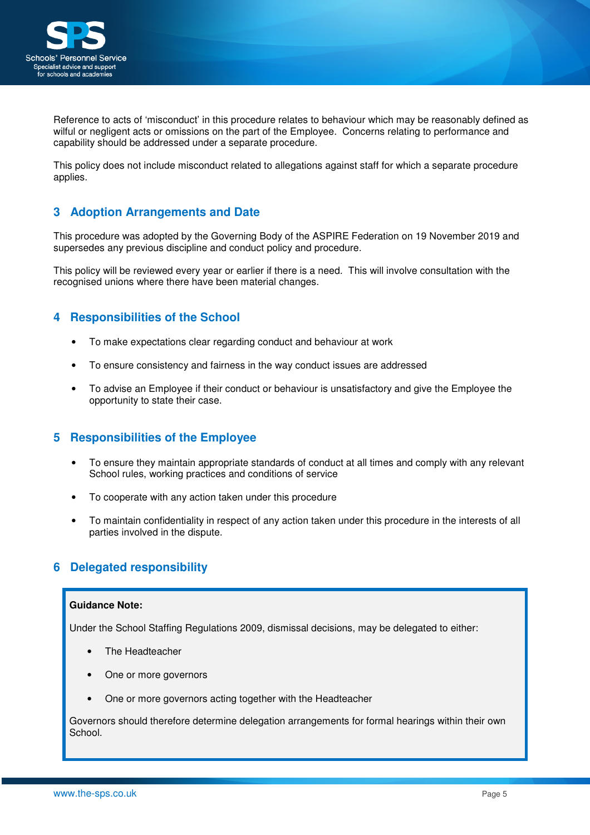

Reference to acts of 'misconduct' in this procedure relates to behaviour which may be reasonably defined as wilful or negligent acts or omissions on the part of the Employee. Concerns relating to performance and capability should be addressed under a separate procedure.

This policy does not include misconduct related to allegations against staff for which a separate procedure applies.

## **3 Adoption Arrangements and Date**

This procedure was adopted by the Governing Body of the ASPIRE Federation on 19 November 2019 and supersedes any previous discipline and conduct policy and procedure.

This policy will be reviewed every year or earlier if there is a need. This will involve consultation with the recognised unions where there have been material changes.

## **4 Responsibilities of the School**

- To make expectations clear regarding conduct and behaviour at work
- To ensure consistency and fairness in the way conduct issues are addressed
- To advise an Employee if their conduct or behaviour is unsatisfactory and give the Employee the opportunity to state their case.

## **5 Responsibilities of the Employee**

- To ensure they maintain appropriate standards of conduct at all times and comply with any relevant School rules, working practices and conditions of service
- To cooperate with any action taken under this procedure
- To maintain confidentiality in respect of any action taken under this procedure in the interests of all parties involved in the dispute.

## **6 Delegated responsibility**

### **Guidance Note:**

Under the School Staffing Regulations 2009, dismissal decisions, may be delegated to either:

- The Headteacher
- One or more governors
- One or more governors acting together with the Headteacher

Governors should therefore determine delegation arrangements for formal hearings within their own School.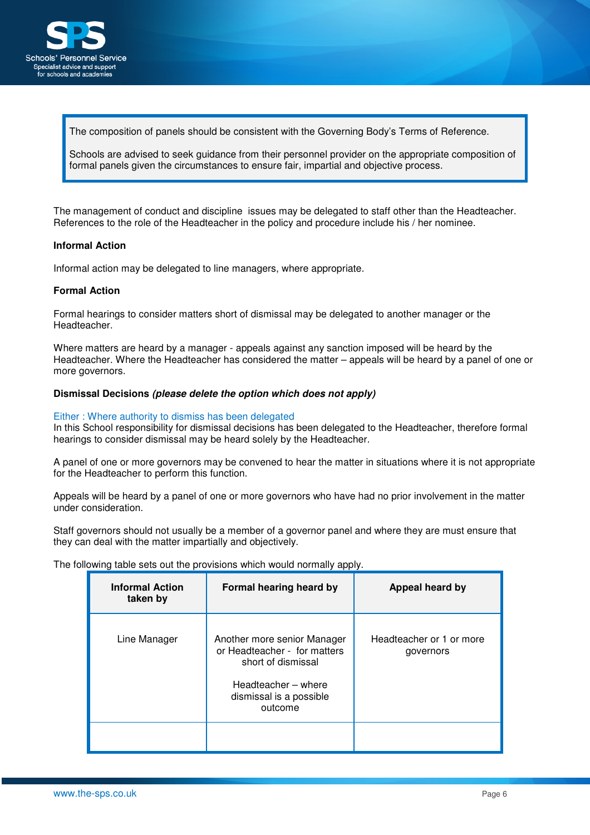

The composition of panels should be consistent with the Governing Body's Terms of Reference.

Schools are advised to seek guidance from their personnel provider on the appropriate composition of formal panels given the circumstances to ensure fair, impartial and objective process.

The management of conduct and discipline issues may be delegated to staff other than the Headteacher. References to the role of the Headteacher in the policy and procedure include his / her nominee.

#### **Informal Action**

Informal action may be delegated to line managers, where appropriate.

### **Formal Action**

Formal hearings to consider matters short of dismissal may be delegated to another manager or the Headteacher.

Where matters are heard by a manager - appeals against any sanction imposed will be heard by the Headteacher. Where the Headteacher has considered the matter – appeals will be heard by a panel of one or more governors.

#### **Dismissal Decisions (please delete the option which does not apply)**

#### Either : Where authority to dismiss has been delegated

In this School responsibility for dismissal decisions has been delegated to the Headteacher, therefore formal hearings to consider dismissal may be heard solely by the Headteacher.

A panel of one or more governors may be convened to hear the matter in situations where it is not appropriate for the Headteacher to perform this function.

Appeals will be heard by a panel of one or more governors who have had no prior involvement in the matter under consideration.

Staff governors should not usually be a member of a governor panel and where they are must ensure that they can deal with the matter impartially and objectively.

The following table sets out the provisions which would normally apply.

| <b>Informal Action</b><br>taken by | Formal hearing heard by                                                                                                                        | Appeal heard by                       |
|------------------------------------|------------------------------------------------------------------------------------------------------------------------------------------------|---------------------------------------|
| Line Manager                       | Another more senior Manager<br>or Headteacher - for matters<br>short of dismissal<br>Headteacher - where<br>dismissal is a possible<br>outcome | Headteacher or 1 or more<br>governors |
|                                    |                                                                                                                                                |                                       |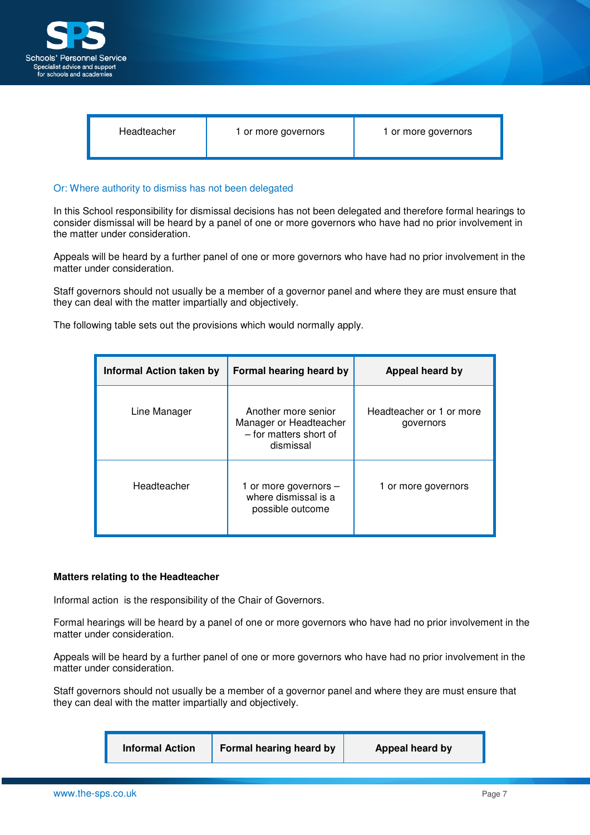

## Or: Where authority to dismiss has not been delegated

In this School responsibility for dismissal decisions has not been delegated and therefore formal hearings to consider dismissal will be heard by a panel of one or more governors who have had no prior involvement in the matter under consideration.

Appeals will be heard by a further panel of one or more governors who have had no prior involvement in the matter under consideration.

Staff governors should not usually be a member of a governor panel and where they are must ensure that they can deal with the matter impartially and objectively.

The following table sets out the provisions which would normally apply.

| <b>Informal Action taken by</b> | Formal hearing heard by                                                              | Appeal heard by                       |
|---------------------------------|--------------------------------------------------------------------------------------|---------------------------------------|
| Line Manager                    | Another more senior<br>Manager or Headteacher<br>- for matters short of<br>dismissal | Headteacher or 1 or more<br>governors |
| Headteacher                     | 1 or more governors $-$<br>where dismissal is a<br>possible outcome                  | 1 or more governors                   |

#### **Matters relating to the Headteacher**

Informal action is the responsibility of the Chair of Governors.

Formal hearings will be heard by a panel of one or more governors who have had no prior involvement in the matter under consideration.

Appeals will be heard by a further panel of one or more governors who have had no prior involvement in the matter under consideration.

Staff governors should not usually be a member of a governor panel and where they are must ensure that they can deal with the matter impartially and objectively.

| Formal hearing heard by<br><b>Informal Action</b> | Appeal heard by |
|---------------------------------------------------|-----------------|
|---------------------------------------------------|-----------------|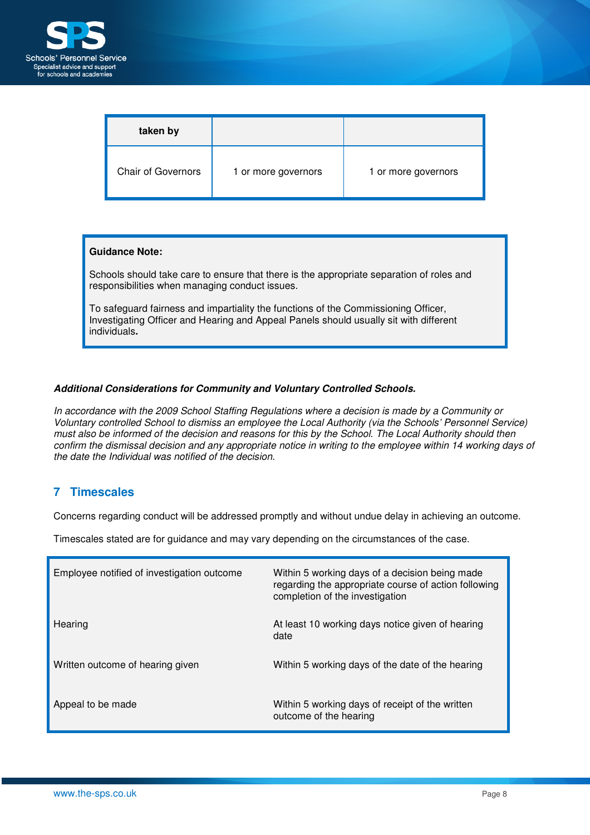

| taken by                  |                     |                     |
|---------------------------|---------------------|---------------------|
| <b>Chair of Governors</b> | 1 or more governors | 1 or more governors |

#### **Guidance Note:**

Schools should take care to ensure that there is the appropriate separation of roles and responsibilities when managing conduct issues.

To safeguard fairness and impartiality the functions of the Commissioning Officer, Investigating Officer and Hearing and Appeal Panels should usually sit with different individuals**.**

## **Additional Considerations for Community and Voluntary Controlled Schools.**

In accordance with the 2009 School Staffing Regulations where a decision is made by a Community or Voluntary controlled School to dismiss an employee the Local Authority (via the Schools' Personnel Service) must also be informed of the decision and reasons for this by the School. The Local Authority should then confirm the dismissal decision and any appropriate notice in writing to the employee within 14 working days of the date the Individual was notified of the decision.

## **7 Timescales**

Concerns regarding conduct will be addressed promptly and without undue delay in achieving an outcome.

Timescales stated are for guidance and may vary depending on the circumstances of the case.

| Employee notified of investigation outcome | Within 5 working days of a decision being made<br>regarding the appropriate course of action following<br>completion of the investigation |
|--------------------------------------------|-------------------------------------------------------------------------------------------------------------------------------------------|
| Hearing                                    | At least 10 working days notice given of hearing<br>date                                                                                  |
| Written outcome of hearing given           | Within 5 working days of the date of the hearing                                                                                          |
| Appeal to be made                          | Within 5 working days of receipt of the written<br>outcome of the hearing                                                                 |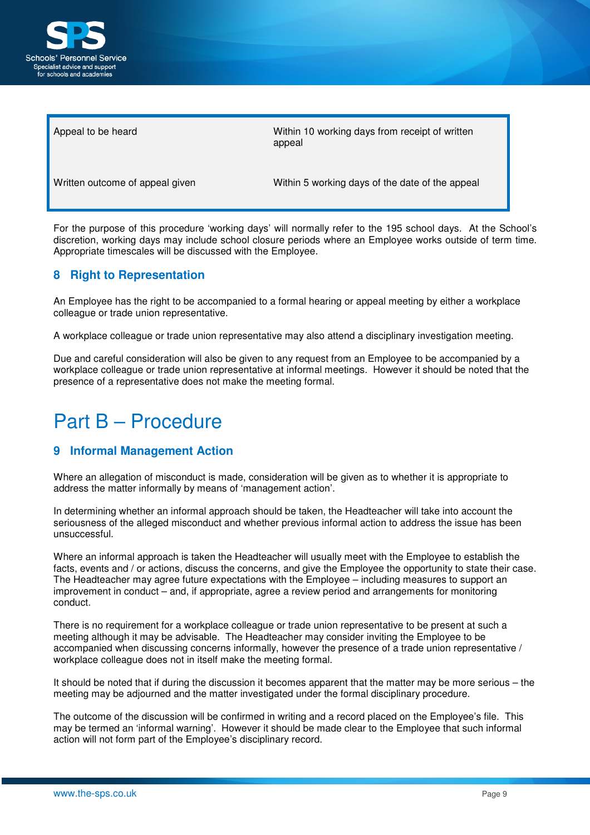

Appeal to be heard Within 10 working days from receipt of written appeal

Written outcome of appeal given Within 5 working days of the date of the appeal

For the purpose of this procedure 'working days' will normally refer to the 195 school days. At the School's discretion, working days may include school closure periods where an Employee works outside of term time. Appropriate timescales will be discussed with the Employee.

## **8 Right to Representation**

An Employee has the right to be accompanied to a formal hearing or appeal meeting by either a workplace colleague or trade union representative.

A workplace colleague or trade union representative may also attend a disciplinary investigation meeting.

Due and careful consideration will also be given to any request from an Employee to be accompanied by a workplace colleague or trade union representative at informal meetings. However it should be noted that the presence of a representative does not make the meeting formal.

# Part B – Procedure

## **9 Informal Management Action**

Where an allegation of misconduct is made, consideration will be given as to whether it is appropriate to address the matter informally by means of 'management action'.

In determining whether an informal approach should be taken, the Headteacher will take into account the seriousness of the alleged misconduct and whether previous informal action to address the issue has been unsuccessful.

Where an informal approach is taken the Headteacher will usually meet with the Employee to establish the facts, events and / or actions, discuss the concerns, and give the Employee the opportunity to state their case. The Headteacher may agree future expectations with the Employee – including measures to support an improvement in conduct – and, if appropriate, agree a review period and arrangements for monitoring conduct.

There is no requirement for a workplace colleague or trade union representative to be present at such a meeting although it may be advisable. The Headteacher may consider inviting the Employee to be accompanied when discussing concerns informally, however the presence of a trade union representative / workplace colleague does not in itself make the meeting formal.

It should be noted that if during the discussion it becomes apparent that the matter may be more serious – the meeting may be adjourned and the matter investigated under the formal disciplinary procedure.

The outcome of the discussion will be confirmed in writing and a record placed on the Employee's file. This may be termed an 'informal warning'. However it should be made clear to the Employee that such informal action will not form part of the Employee's disciplinary record.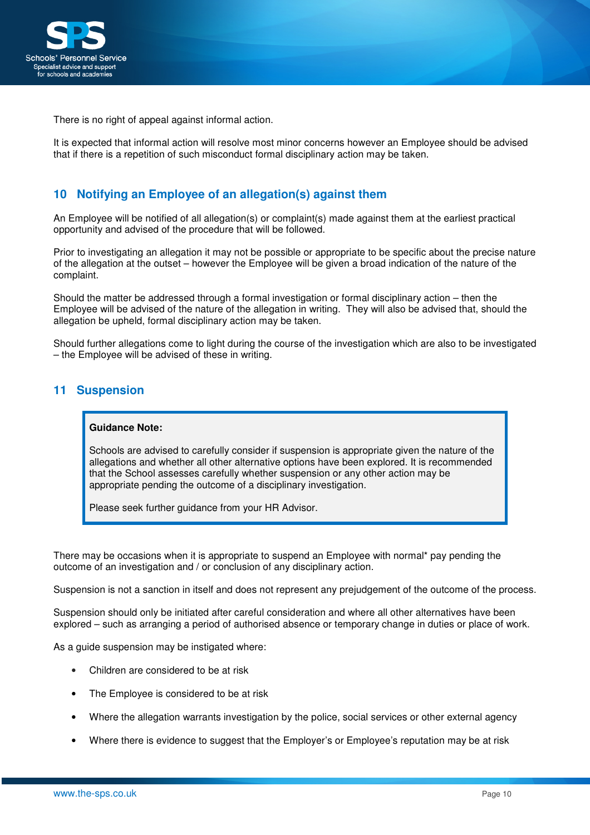

There is no right of appeal against informal action.

It is expected that informal action will resolve most minor concerns however an Employee should be advised that if there is a repetition of such misconduct formal disciplinary action may be taken.

## **10 Notifying an Employee of an allegation(s) against them**

An Employee will be notified of all allegation(s) or complaint(s) made against them at the earliest practical opportunity and advised of the procedure that will be followed.

Prior to investigating an allegation it may not be possible or appropriate to be specific about the precise nature of the allegation at the outset – however the Employee will be given a broad indication of the nature of the complaint.

Should the matter be addressed through a formal investigation or formal disciplinary action – then the Employee will be advised of the nature of the allegation in writing. They will also be advised that, should the allegation be upheld, formal disciplinary action may be taken.

Should further allegations come to light during the course of the investigation which are also to be investigated – the Employee will be advised of these in writing.

## **11 Suspension**

### **Guidance Note:**

Schools are advised to carefully consider if suspension is appropriate given the nature of the allegations and whether all other alternative options have been explored. It is recommended that the School assesses carefully whether suspension or any other action may be appropriate pending the outcome of a disciplinary investigation.

Please seek further guidance from your HR Advisor.

There may be occasions when it is appropriate to suspend an Employee with normal\* pay pending the outcome of an investigation and / or conclusion of any disciplinary action.

Suspension is not a sanction in itself and does not represent any prejudgement of the outcome of the process.

Suspension should only be initiated after careful consideration and where all other alternatives have been explored – such as arranging a period of authorised absence or temporary change in duties or place of work.

As a guide suspension may be instigated where:

- Children are considered to be at risk
- The Employee is considered to be at risk
- Where the allegation warrants investigation by the police, social services or other external agency
- Where there is evidence to suggest that the Employer's or Employee's reputation may be at risk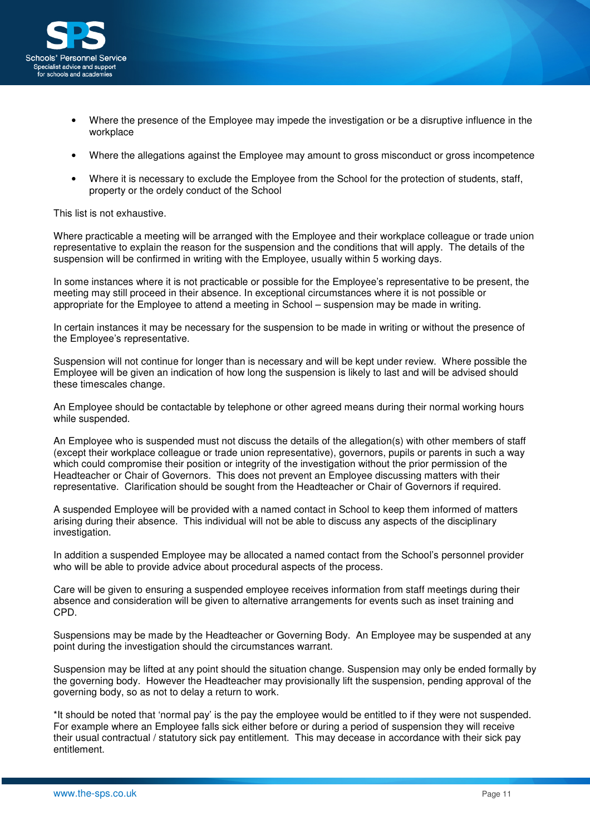

- Where the presence of the Employee may impede the investigation or be a disruptive influence in the workplace
- Where the allegations against the Employee may amount to gross misconduct or gross incompetence
- Where it is necessary to exclude the Employee from the School for the protection of students, staff, property or the ordely conduct of the School

This list is not exhaustive.

Where practicable a meeting will be arranged with the Employee and their workplace colleague or trade union representative to explain the reason for the suspension and the conditions that will apply. The details of the suspension will be confirmed in writing with the Employee, usually within 5 working days.

In some instances where it is not practicable or possible for the Employee's representative to be present, the meeting may still proceed in their absence. In exceptional circumstances where it is not possible or appropriate for the Employee to attend a meeting in School – suspension may be made in writing.

In certain instances it may be necessary for the suspension to be made in writing or without the presence of the Employee's representative.

Suspension will not continue for longer than is necessary and will be kept under review. Where possible the Employee will be given an indication of how long the suspension is likely to last and will be advised should these timescales change.

An Employee should be contactable by telephone or other agreed means during their normal working hours while suspended.

An Employee who is suspended must not discuss the details of the allegation(s) with other members of staff (except their workplace colleague or trade union representative), governors, pupils or parents in such a way which could compromise their position or integrity of the investigation without the prior permission of the Headteacher or Chair of Governors. This does not prevent an Employee discussing matters with their representative. Clarification should be sought from the Headteacher or Chair of Governors if required.

A suspended Employee will be provided with a named contact in School to keep them informed of matters arising during their absence. This individual will not be able to discuss any aspects of the disciplinary investigation.

In addition a suspended Employee may be allocated a named contact from the School's personnel provider who will be able to provide advice about procedural aspects of the process.

Care will be given to ensuring a suspended employee receives information from staff meetings during their absence and consideration will be given to alternative arrangements for events such as inset training and CPD.

Suspensions may be made by the Headteacher or Governing Body. An Employee may be suspended at any point during the investigation should the circumstances warrant.

Suspension may be lifted at any point should the situation change. Suspension may only be ended formally by the governing body. However the Headteacher may provisionally lift the suspension, pending approval of the governing body, so as not to delay a return to work.

\*It should be noted that 'normal pay' is the pay the employee would be entitled to if they were not suspended. For example where an Employee falls sick either before or during a period of suspension they will receive their usual contractual / statutory sick pay entitlement. This may decease in accordance with their sick pay entitlement.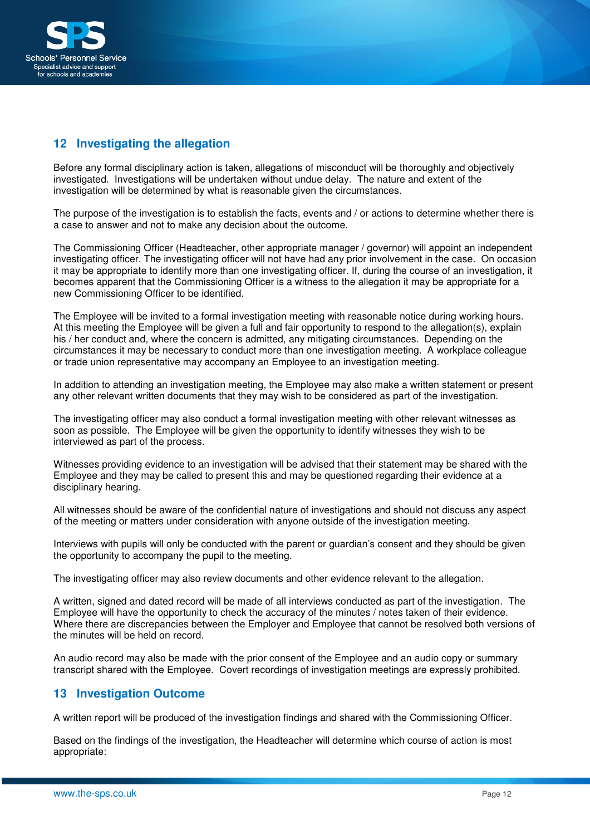

## **12 Investigating the allegation**

Before any formal disciplinary action is taken, allegations of misconduct will be thoroughly and objectively investigated. Investigations will be undertaken without undue delay. The nature and extent of the investigation will be determined by what is reasonable given the circumstances.

The purpose of the investigation is to establish the facts, events and / or actions to determine whether there is a case to answer and not to make any decision about the outcome.

The Commissioning Officer (Headteacher, other appropriate manager / governor) will appoint an independent investigating officer. The investigating officer will not have had any prior involvement in the case. On occasion it may be appropriate to identify more than one investigating officer. If, during the course of an investigation, it becomes apparent that the Commissioning Officer is a witness to the allegation it may be appropriate for a new Commissioning Officer to be identified.

The Employee will be invited to a formal investigation meeting with reasonable notice during working hours. At this meeting the Employee will be given a full and fair opportunity to respond to the allegation(s), explain his / her conduct and, where the concern is admitted, any mitigating circumstances. Depending on the circumstances it may be necessary to conduct more than one investigation meeting. A workplace colleague or trade union representative may accompany an Employee to an investigation meeting.

In addition to attending an investigation meeting, the Employee may also make a written statement or present any other relevant written documents that they may wish to be considered as part of the investigation.

The investigating officer may also conduct a formal investigation meeting with other relevant witnesses as soon as possible. The Employee will be given the opportunity to identify witnesses they wish to be interviewed as part of the process.

Witnesses providing evidence to an investigation will be advised that their statement may be shared with the Employee and they may be called to present this and may be questioned regarding their evidence at a disciplinary hearing.

All witnesses should be aware of the confidential nature of investigations and should not discuss any aspect of the meeting or matters under consideration with anyone outside of the investigation meeting.

Interviews with pupils will only be conducted with the parent or guardian's consent and they should be given the opportunity to accompany the pupil to the meeting.

The investigating officer may also review documents and other evidence relevant to the allegation.

A written, signed and dated record will be made of all interviews conducted as part of the investigation. The Employee will have the opportunity to check the accuracy of the minutes / notes taken of their evidence. Where there are discrepancies between the Employer and Employee that cannot be resolved both versions of the minutes will be held on record.

An audio record may also be made with the prior consent of the Employee and an audio copy or summary transcript shared with the Employee. Covert recordings of investigation meetings are expressly prohibited.

## **13 Investigation Outcome**

A written report will be produced of the investigation findings and shared with the Commissioning Officer.

Based on the findings of the investigation, the Headteacher will determine which course of action is most appropriate: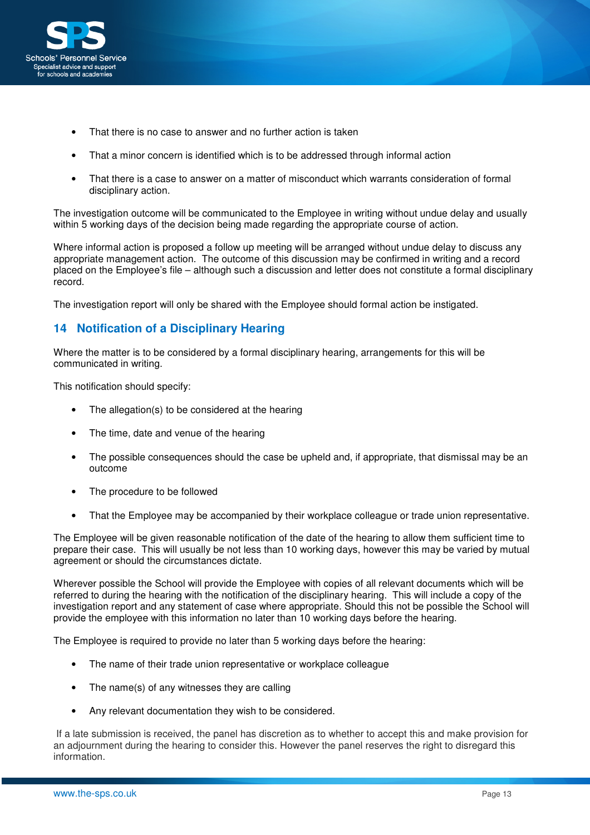

- That there is no case to answer and no further action is taken
- That a minor concern is identified which is to be addressed through informal action
- That there is a case to answer on a matter of misconduct which warrants consideration of formal disciplinary action.

The investigation outcome will be communicated to the Employee in writing without undue delay and usually within 5 working days of the decision being made regarding the appropriate course of action.

Where informal action is proposed a follow up meeting will be arranged without undue delay to discuss any appropriate management action. The outcome of this discussion may be confirmed in writing and a record placed on the Employee's file – although such a discussion and letter does not constitute a formal disciplinary record.

The investigation report will only be shared with the Employee should formal action be instigated.

## **14 Notification of a Disciplinary Hearing**

Where the matter is to be considered by a formal disciplinary hearing, arrangements for this will be communicated in writing.

This notification should specify:

- The allegation(s) to be considered at the hearing
- The time, date and venue of the hearing
- The possible consequences should the case be upheld and, if appropriate, that dismissal may be an outcome
- The procedure to be followed
- That the Employee may be accompanied by their workplace colleague or trade union representative.

The Employee will be given reasonable notification of the date of the hearing to allow them sufficient time to prepare their case. This will usually be not less than 10 working days, however this may be varied by mutual agreement or should the circumstances dictate.

Wherever possible the School will provide the Employee with copies of all relevant documents which will be referred to during the hearing with the notification of the disciplinary hearing. This will include a copy of the investigation report and any statement of case where appropriate. Should this not be possible the School will provide the employee with this information no later than 10 working days before the hearing.

The Employee is required to provide no later than 5 working days before the hearing:

- The name of their trade union representative or workplace colleague
- The name(s) of any witnesses they are calling
- Any relevant documentation they wish to be considered.

 If a late submission is received, the panel has discretion as to whether to accept this and make provision for an adjournment during the hearing to consider this. However the panel reserves the right to disregard this information.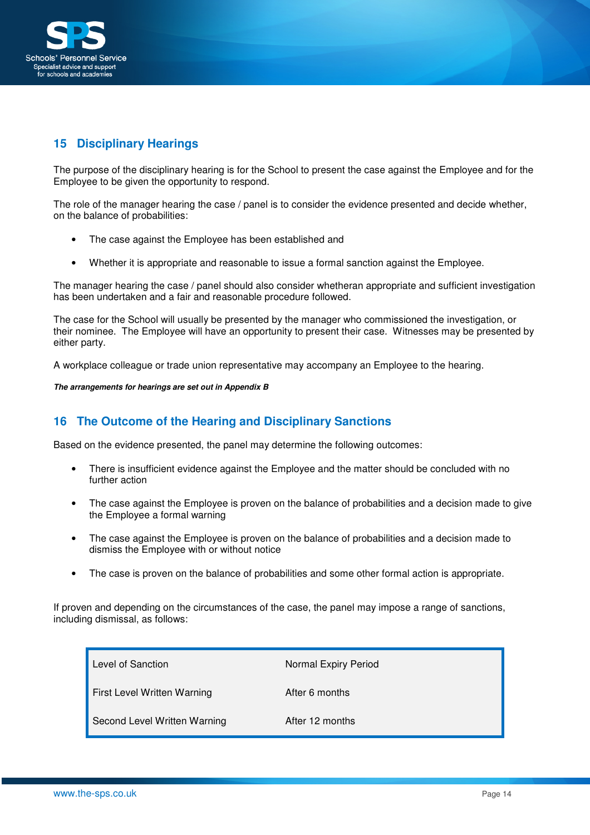

## **15 Disciplinary Hearings**

The purpose of the disciplinary hearing is for the School to present the case against the Employee and for the Employee to be given the opportunity to respond.

The role of the manager hearing the case / panel is to consider the evidence presented and decide whether, on the balance of probabilities:

- The case against the Employee has been established and
- Whether it is appropriate and reasonable to issue a formal sanction against the Employee.

The manager hearing the case / panel should also consider whetheran appropriate and sufficient investigation has been undertaken and a fair and reasonable procedure followed.

The case for the School will usually be presented by the manager who commissioned the investigation, or their nominee. The Employee will have an opportunity to present their case. Witnesses may be presented by either party.

A workplace colleague or trade union representative may accompany an Employee to the hearing.

**The arrangements for hearings are set out in Appendix B**

## **16 The Outcome of the Hearing and Disciplinary Sanctions**

Based on the evidence presented, the panel may determine the following outcomes:

- There is insufficient evidence against the Employee and the matter should be concluded with no further action
- The case against the Employee is proven on the balance of probabilities and a decision made to give the Employee a formal warning
- The case against the Employee is proven on the balance of probabilities and a decision made to dismiss the Employee with or without notice
- The case is proven on the balance of probabilities and some other formal action is appropriate.

If proven and depending on the circumstances of the case, the panel may impose a range of sanctions, including dismissal, as follows:

| Level of Sanction            | Normal Expiry Period |
|------------------------------|----------------------|
| First Level Written Warning  | After 6 months       |
| Second Level Written Warning | After 12 months      |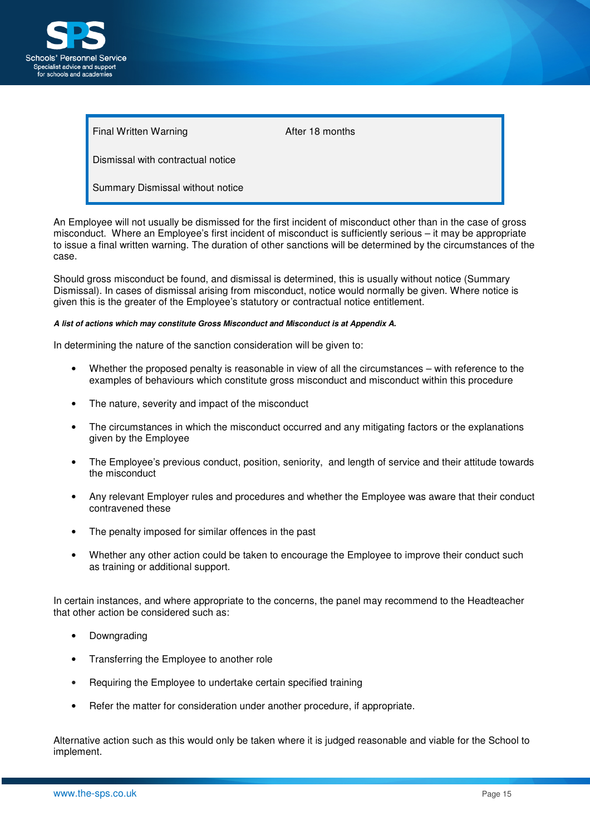

Final Written Warning **After 18 months** 

Dismissal with contractual notice

Summary Dismissal without notice

An Employee will not usually be dismissed for the first incident of misconduct other than in the case of gross misconduct. Where an Employee's first incident of misconduct is sufficiently serious – it may be appropriate to issue a final written warning. The duration of other sanctions will be determined by the circumstances of the case.

Should gross misconduct be found, and dismissal is determined, this is usually without notice (Summary Dismissal). In cases of dismissal arising from misconduct, notice would normally be given. Where notice is given this is the greater of the Employee's statutory or contractual notice entitlement.

#### **A list of actions which may constitute Gross Misconduct and Misconduct is at Appendix A.**

In determining the nature of the sanction consideration will be given to:

- Whether the proposed penalty is reasonable in view of all the circumstances with reference to the examples of behaviours which constitute gross misconduct and misconduct within this procedure
- The nature, severity and impact of the misconduct
- The circumstances in which the misconduct occurred and any mitigating factors or the explanations given by the Employee
- The Employee's previous conduct, position, seniority, and length of service and their attitude towards the misconduct
- Any relevant Employer rules and procedures and whether the Employee was aware that their conduct contravened these
- The penalty imposed for similar offences in the past
- Whether any other action could be taken to encourage the Employee to improve their conduct such as training or additional support.

In certain instances, and where appropriate to the concerns, the panel may recommend to the Headteacher that other action be considered such as:

- Downgrading
- Transferring the Employee to another role
- Requiring the Employee to undertake certain specified training
- Refer the matter for consideration under another procedure, if appropriate.

Alternative action such as this would only be taken where it is judged reasonable and viable for the School to implement.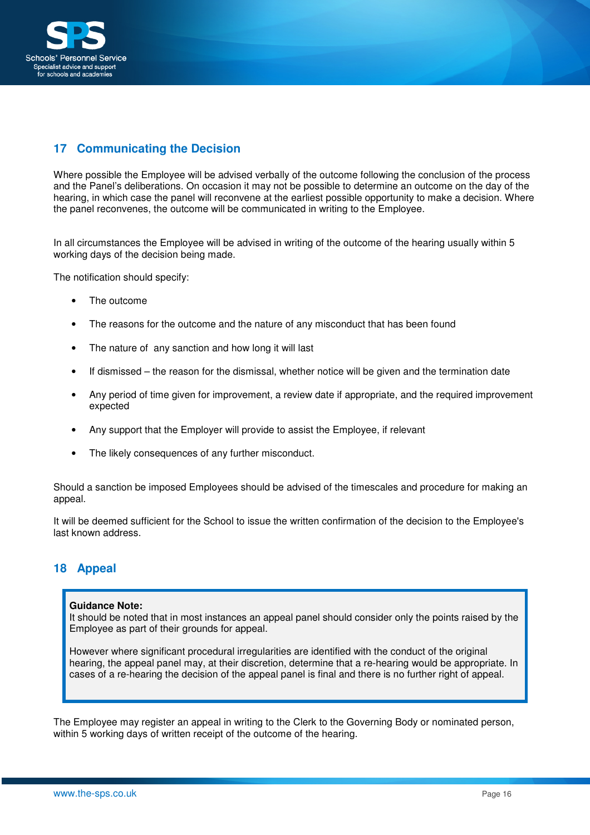

## **17 Communicating the Decision**

Where possible the Employee will be advised verbally of the outcome following the conclusion of the process and the Panel's deliberations. On occasion it may not be possible to determine an outcome on the day of the hearing, in which case the panel will reconvene at the earliest possible opportunity to make a decision. Where the panel reconvenes, the outcome will be communicated in writing to the Employee.

In all circumstances the Employee will be advised in writing of the outcome of the hearing usually within 5 working days of the decision being made.

The notification should specify:

- The outcome
- The reasons for the outcome and the nature of any misconduct that has been found
- The nature of any sanction and how long it will last
- If dismissed the reason for the dismissal, whether notice will be given and the termination date
- Any period of time given for improvement, a review date if appropriate, and the required improvement expected
- Any support that the Employer will provide to assist the Employee, if relevant
- The likely consequences of any further misconduct.

Should a sanction be imposed Employees should be advised of the timescales and procedure for making an appeal.

It will be deemed sufficient for the School to issue the written confirmation of the decision to the Employee's last known address.

## **18 Appeal**

#### **Guidance Note:**

It should be noted that in most instances an appeal panel should consider only the points raised by the Employee as part of their grounds for appeal.

However where significant procedural irregularities are identified with the conduct of the original hearing, the appeal panel may, at their discretion, determine that a re-hearing would be appropriate. In cases of a re-hearing the decision of the appeal panel is final and there is no further right of appeal.

The Employee may register an appeal in writing to the Clerk to the Governing Body or nominated person, within 5 working days of written receipt of the outcome of the hearing.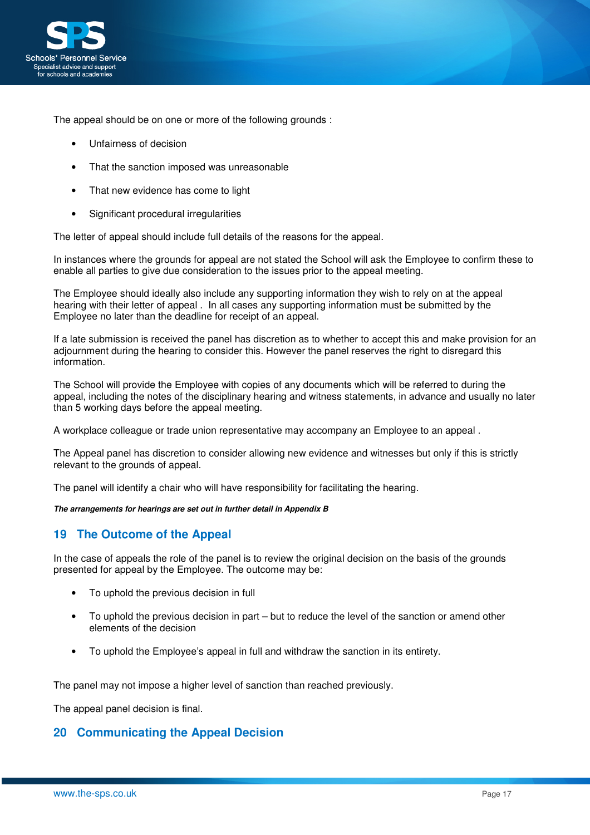

The appeal should be on one or more of the following grounds :

- Unfairness of decision
- That the sanction imposed was unreasonable
- That new evidence has come to light
- Significant procedural irregularities

The letter of appeal should include full details of the reasons for the appeal.

In instances where the grounds for appeal are not stated the School will ask the Employee to confirm these to enable all parties to give due consideration to the issues prior to the appeal meeting.

The Employee should ideally also include any supporting information they wish to rely on at the appeal hearing with their letter of appeal . In all cases any supporting information must be submitted by the Employee no later than the deadline for receipt of an appeal.

If a late submission is received the panel has discretion as to whether to accept this and make provision for an adjournment during the hearing to consider this. However the panel reserves the right to disregard this information.

The School will provide the Employee with copies of any documents which will be referred to during the appeal, including the notes of the disciplinary hearing and witness statements, in advance and usually no later than 5 working days before the appeal meeting.

A workplace colleague or trade union representative may accompany an Employee to an appeal .

The Appeal panel has discretion to consider allowing new evidence and witnesses but only if this is strictly relevant to the grounds of appeal.

The panel will identify a chair who will have responsibility for facilitating the hearing.

**The arrangements for hearings are set out in further detail in Appendix B** 

## **19 The Outcome of the Appeal**

In the case of appeals the role of the panel is to review the original decision on the basis of the grounds presented for appeal by the Employee. The outcome may be:

- To uphold the previous decision in full
- To uphold the previous decision in part but to reduce the level of the sanction or amend other elements of the decision
- To uphold the Employee's appeal in full and withdraw the sanction in its entirety.

The panel may not impose a higher level of sanction than reached previously.

The appeal panel decision is final.

## **20 Communicating the Appeal Decision**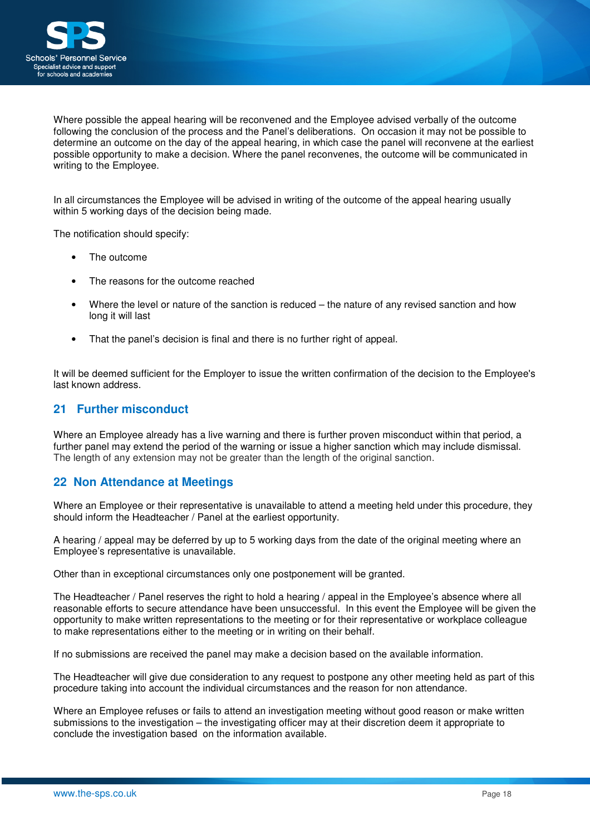

Where possible the appeal hearing will be reconvened and the Employee advised verbally of the outcome following the conclusion of the process and the Panel's deliberations. On occasion it may not be possible to determine an outcome on the day of the appeal hearing, in which case the panel will reconvene at the earliest possible opportunity to make a decision. Where the panel reconvenes, the outcome will be communicated in writing to the Employee.

In all circumstances the Employee will be advised in writing of the outcome of the appeal hearing usually within 5 working days of the decision being made.

The notification should specify:

- The outcome
- The reasons for the outcome reached
- Where the level or nature of the sanction is reduced the nature of any revised sanction and how long it will last
- That the panel's decision is final and there is no further right of appeal.

It will be deemed sufficient for the Employer to issue the written confirmation of the decision to the Employee's last known address.

## **21 Further misconduct**

Where an Employee already has a live warning and there is further proven misconduct within that period, a further panel may extend the period of the warning or issue a higher sanction which may include dismissal. The length of any extension may not be greater than the length of the original sanction.

## **22 Non Attendance at Meetings**

Where an Employee or their representative is unavailable to attend a meeting held under this procedure, they should inform the Headteacher / Panel at the earliest opportunity.

A hearing / appeal may be deferred by up to 5 working days from the date of the original meeting where an Employee's representative is unavailable.

Other than in exceptional circumstances only one postponement will be granted.

The Headteacher / Panel reserves the right to hold a hearing / appeal in the Employee's absence where all reasonable efforts to secure attendance have been unsuccessful. In this event the Employee will be given the opportunity to make written representations to the meeting or for their representative or workplace colleague to make representations either to the meeting or in writing on their behalf.

If no submissions are received the panel may make a decision based on the available information.

The Headteacher will give due consideration to any request to postpone any other meeting held as part of this procedure taking into account the individual circumstances and the reason for non attendance.

Where an Employee refuses or fails to attend an investigation meeting without good reason or make written submissions to the investigation – the investigating officer may at their discretion deem it appropriate to conclude the investigation based on the information available.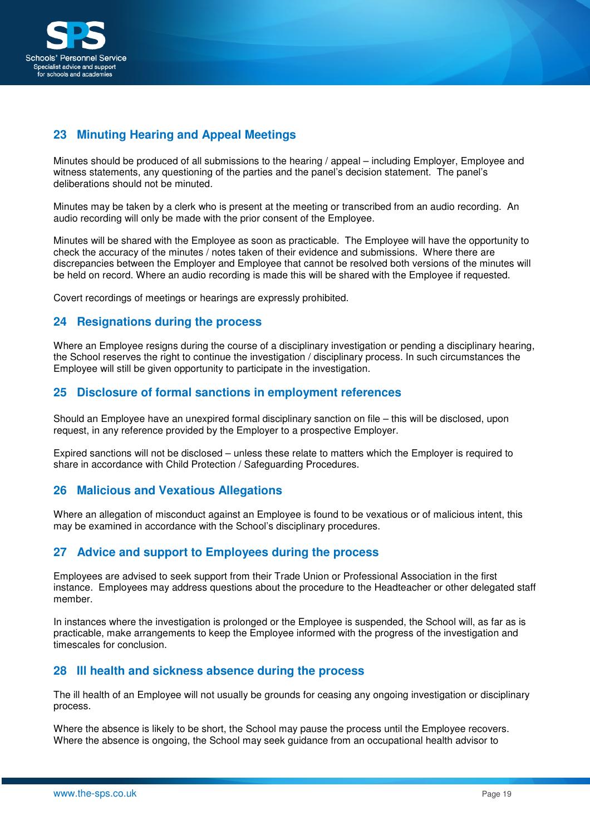

## **23 Minuting Hearing and Appeal Meetings**

Minutes should be produced of all submissions to the hearing / appeal – including Employer, Employee and witness statements, any questioning of the parties and the panel's decision statement. The panel's deliberations should not be minuted.

Minutes may be taken by a clerk who is present at the meeting or transcribed from an audio recording. An audio recording will only be made with the prior consent of the Employee.

Minutes will be shared with the Employee as soon as practicable. The Employee will have the opportunity to check the accuracy of the minutes / notes taken of their evidence and submissions. Where there are discrepancies between the Employer and Employee that cannot be resolved both versions of the minutes will be held on record. Where an audio recording is made this will be shared with the Employee if requested.

Covert recordings of meetings or hearings are expressly prohibited.

## **24 Resignations during the process**

Where an Employee resigns during the course of a disciplinary investigation or pending a disciplinary hearing, the School reserves the right to continue the investigation / disciplinary process. In such circumstances the Employee will still be given opportunity to participate in the investigation.

## **25 Disclosure of formal sanctions in employment references**

Should an Employee have an unexpired formal disciplinary sanction on file – this will be disclosed, upon request, in any reference provided by the Employer to a prospective Employer.

Expired sanctions will not be disclosed – unless these relate to matters which the Employer is required to share in accordance with Child Protection / Safeguarding Procedures.

## **26 Malicious and Vexatious Allegations**

Where an allegation of misconduct against an Employee is found to be vexatious or of malicious intent, this may be examined in accordance with the School's disciplinary procedures.

## **27 Advice and support to Employees during the process**

Employees are advised to seek support from their Trade Union or Professional Association in the first instance. Employees may address questions about the procedure to the Headteacher or other delegated staff member.

In instances where the investigation is prolonged or the Employee is suspended, the School will, as far as is practicable, make arrangements to keep the Employee informed with the progress of the investigation and timescales for conclusion.

## **28 Ill health and sickness absence during the process**

The ill health of an Employee will not usually be grounds for ceasing any ongoing investigation or disciplinary process.

Where the absence is likely to be short, the School may pause the process until the Employee recovers. Where the absence is ongoing, the School may seek guidance from an occupational health advisor to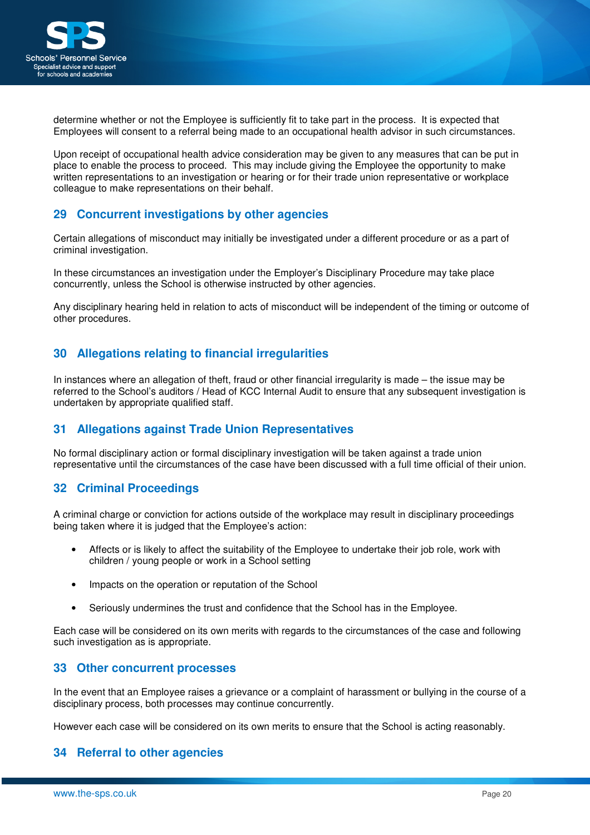

determine whether or not the Employee is sufficiently fit to take part in the process. It is expected that Employees will consent to a referral being made to an occupational health advisor in such circumstances.

Upon receipt of occupational health advice consideration may be given to any measures that can be put in place to enable the process to proceed. This may include giving the Employee the opportunity to make written representations to an investigation or hearing or for their trade union representative or workplace colleague to make representations on their behalf.

## **29 Concurrent investigations by other agencies**

Certain allegations of misconduct may initially be investigated under a different procedure or as a part of criminal investigation.

In these circumstances an investigation under the Employer's Disciplinary Procedure may take place concurrently, unless the School is otherwise instructed by other agencies.

Any disciplinary hearing held in relation to acts of misconduct will be independent of the timing or outcome of other procedures.

## **30 Allegations relating to financial irregularities**

In instances where an allegation of theft, fraud or other financial irregularity is made – the issue may be referred to the School's auditors / Head of KCC Internal Audit to ensure that any subsequent investigation is undertaken by appropriate qualified staff.

## **31 Allegations against Trade Union Representatives**

No formal disciplinary action or formal disciplinary investigation will be taken against a trade union representative until the circumstances of the case have been discussed with a full time official of their union.

## **32 Criminal Proceedings**

A criminal charge or conviction for actions outside of the workplace may result in disciplinary proceedings being taken where it is judged that the Employee's action:

- Affects or is likely to affect the suitability of the Employee to undertake their job role, work with children / young people or work in a School setting
- Impacts on the operation or reputation of the School
- Seriously undermines the trust and confidence that the School has in the Employee.

Each case will be considered on its own merits with regards to the circumstances of the case and following such investigation as is appropriate.

## **33 Other concurrent processes**

In the event that an Employee raises a grievance or a complaint of harassment or bullying in the course of a disciplinary process, both processes may continue concurrently.

However each case will be considered on its own merits to ensure that the School is acting reasonably.

## **34 Referral to other agencies**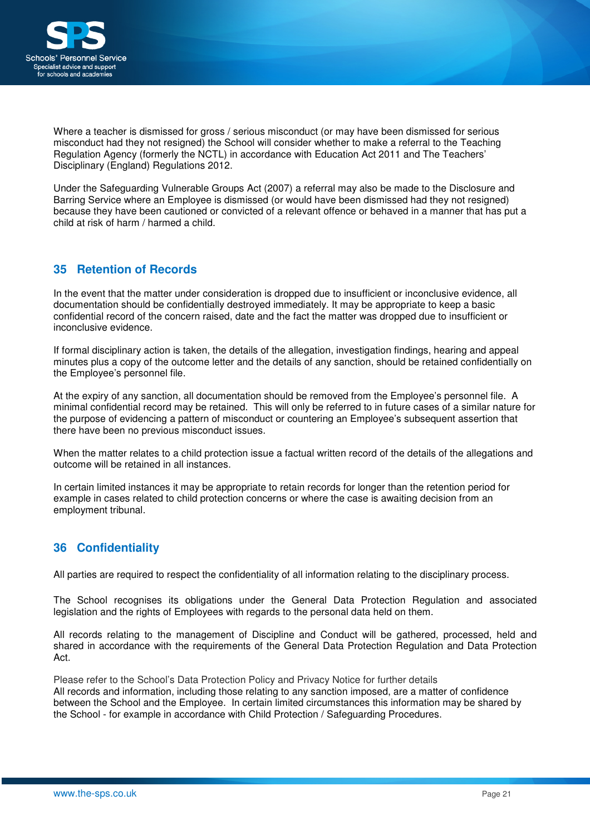

Where a teacher is dismissed for gross / serious misconduct (or may have been dismissed for serious misconduct had they not resigned) the School will consider whether to make a referral to the Teaching Regulation Agency (formerly the NCTL) in accordance with Education Act 2011 and The Teachers' Disciplinary (England) Regulations 2012.

Under the Safeguarding Vulnerable Groups Act (2007) a referral may also be made to the Disclosure and Barring Service where an Employee is dismissed (or would have been dismissed had they not resigned) because they have been cautioned or convicted of a relevant offence or behaved in a manner that has put a child at risk of harm / harmed a child.

## **35 Retention of Records**

In the event that the matter under consideration is dropped due to insufficient or inconclusive evidence, all documentation should be confidentially destroyed immediately. It may be appropriate to keep a basic confidential record of the concern raised, date and the fact the matter was dropped due to insufficient or inconclusive evidence.

If formal disciplinary action is taken, the details of the allegation, investigation findings, hearing and appeal minutes plus a copy of the outcome letter and the details of any sanction, should be retained confidentially on the Employee's personnel file.

At the expiry of any sanction, all documentation should be removed from the Employee's personnel file. A minimal confidential record may be retained. This will only be referred to in future cases of a similar nature for the purpose of evidencing a pattern of misconduct or countering an Employee's subsequent assertion that there have been no previous misconduct issues.

When the matter relates to a child protection issue a factual written record of the details of the allegations and outcome will be retained in all instances.

In certain limited instances it may be appropriate to retain records for longer than the retention period for example in cases related to child protection concerns or where the case is awaiting decision from an employment tribunal.

## **36 Confidentiality**

All parties are required to respect the confidentiality of all information relating to the disciplinary process.

The School recognises its obligations under the General Data Protection Regulation and associated legislation and the rights of Employees with regards to the personal data held on them.

All records relating to the management of Discipline and Conduct will be gathered, processed, held and shared in accordance with the requirements of the General Data Protection Regulation and Data Protection Act.

Please refer to the School's Data Protection Policy and Privacy Notice for further details All records and information, including those relating to any sanction imposed, are a matter of confidence between the School and the Employee. In certain limited circumstances this information may be shared by the School - for example in accordance with Child Protection / Safeguarding Procedures.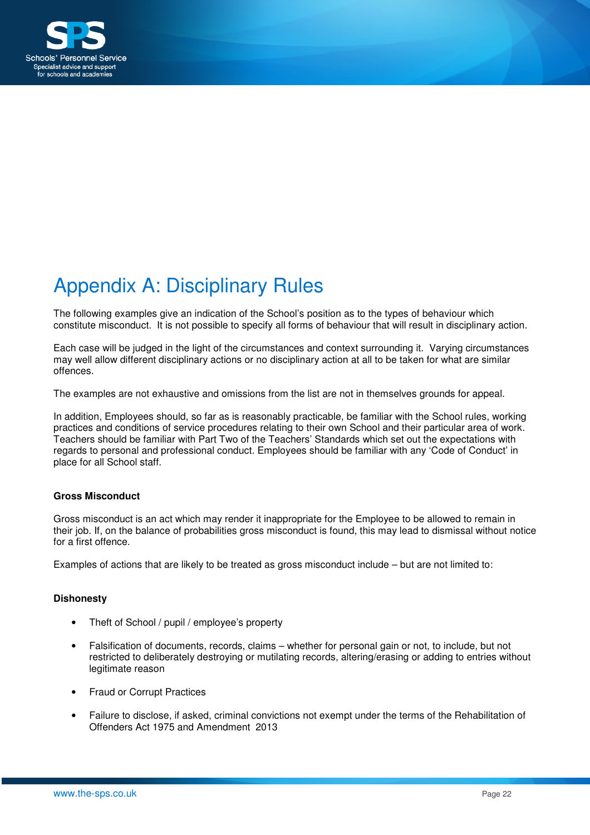

# Appendix A: Disciplinary Rules

The following examples give an indication of the School's position as to the types of behaviour which constitute misconduct. It is not possible to specify all forms of behaviour that will result in disciplinary action.

Each case will be judged in the light of the circumstances and context surrounding it. Varying circumstances may well allow different disciplinary actions or no disciplinary action at all to be taken for what are similar offences.

The examples are not exhaustive and omissions from the list are not in themselves grounds for appeal.

In addition, Employees should, so far as is reasonably practicable, be familiar with the School rules, working practices and conditions of service procedures relating to their own School and their particular area of work. Teachers should be familiar with Part Two of the Teachers' Standards which set out the expectations with regards to personal and professional conduct. Employees should be familiar with any 'Code of Conduct' in place for all School staff.

#### **Gross Misconduct**

Gross misconduct is an act which may render it inappropriate for the Employee to be allowed to remain in their job. If, on the balance of probabilities gross misconduct is found, this may lead to dismissal without notice for a first offence.

Examples of actions that are likely to be treated as gross misconduct include – but are not limited to:

#### **Dishonesty**

- Theft of School / pupil / employee's property
- Falsification of documents, records, claims whether for personal gain or not, to include, but not restricted to deliberately destroying or mutilating records, altering/erasing or adding to entries without legitimate reason
- Fraud or Corrupt Practices
- Failure to disclose, if asked, criminal convictions not exempt under the terms of the Rehabilitation of Offenders Act 1975 and Amendment 2013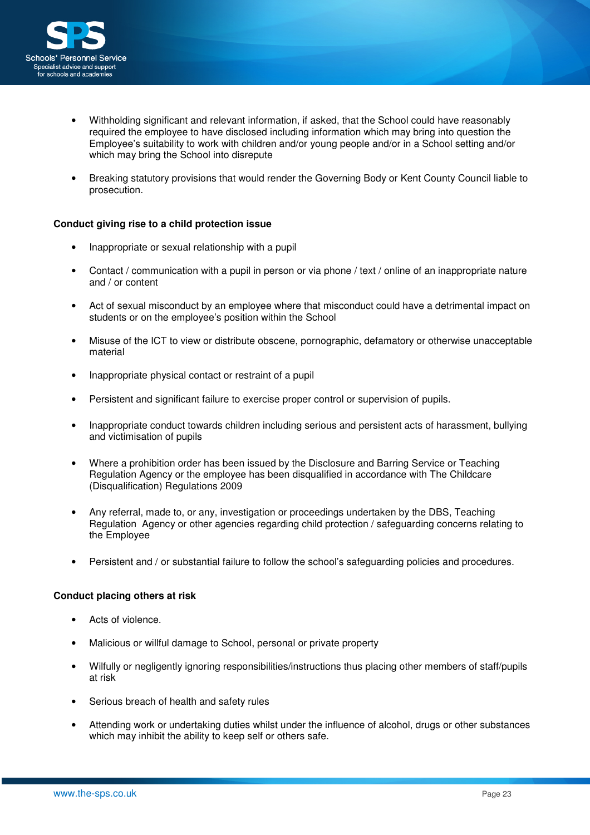

- Withholding significant and relevant information, if asked, that the School could have reasonably required the employee to have disclosed including information which may bring into question the Employee's suitability to work with children and/or young people and/or in a School setting and/or which may bring the School into disrepute
- Breaking statutory provisions that would render the Governing Body or Kent County Council liable to prosecution.

### **Conduct giving rise to a child protection issue**

- Inappropriate or sexual relationship with a pupil
- Contact / communication with a pupil in person or via phone / text / online of an inappropriate nature and / or content
- Act of sexual misconduct by an employee where that misconduct could have a detrimental impact on students or on the employee's position within the School
- Misuse of the ICT to view or distribute obscene, pornographic, defamatory or otherwise unacceptable material
- Inappropriate physical contact or restraint of a pupil
- Persistent and significant failure to exercise proper control or supervision of pupils.
- Inappropriate conduct towards children including serious and persistent acts of harassment, bullying and victimisation of pupils
- Where a prohibition order has been issued by the Disclosure and Barring Service or Teaching Regulation Agency or the employee has been disqualified in accordance with The Childcare (Disqualification) Regulations 2009
- Any referral, made to, or any, investigation or proceedings undertaken by the DBS, Teaching Regulation Agency or other agencies regarding child protection / safeguarding concerns relating to the Employee
- Persistent and / or substantial failure to follow the school's safeguarding policies and procedures.

#### **Conduct placing others at risk**

- Acts of violence.
- Malicious or willful damage to School, personal or private property
- Wilfully or negligently ignoring responsibilities/instructions thus placing other members of staff/pupils at risk
- Serious breach of health and safety rules
- Attending work or undertaking duties whilst under the influence of alcohol, drugs or other substances which may inhibit the ability to keep self or others safe.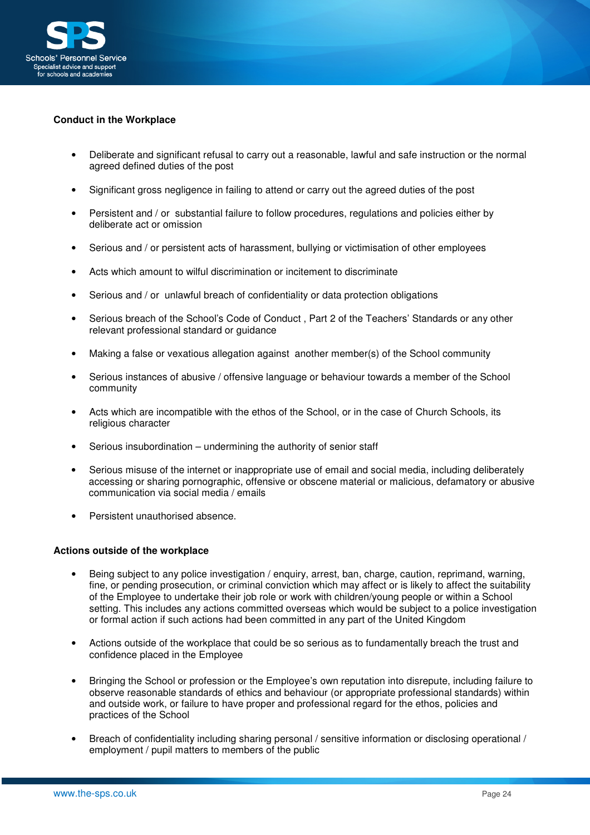

## **Conduct in the Workplace**

- Deliberate and significant refusal to carry out a reasonable, lawful and safe instruction or the normal agreed defined duties of the post
- Significant gross negligence in failing to attend or carry out the agreed duties of the post
- Persistent and / or substantial failure to follow procedures, regulations and policies either by deliberate act or omission
- Serious and / or persistent acts of harassment, bullying or victimisation of other employees
- Acts which amount to wilful discrimination or incitement to discriminate
- Serious and / or unlawful breach of confidentiality or data protection obligations
- Serious breach of the School's Code of Conduct , Part 2 of the Teachers' Standards or any other relevant professional standard or guidance
- Making a false or vexatious allegation against another member(s) of the School community
- Serious instances of abusive / offensive language or behaviour towards a member of the School community
- Acts which are incompatible with the ethos of the School, or in the case of Church Schools, its religious character
- Serious insubordination undermining the authority of senior staff
- Serious misuse of the internet or inappropriate use of email and social media, including deliberately accessing or sharing pornographic, offensive or obscene material or malicious, defamatory or abusive communication via social media / emails
- Persistent unauthorised absence.

#### **Actions outside of the workplace**

- Being subject to any police investigation / enquiry, arrest, ban, charge, caution, reprimand, warning, fine, or pending prosecution, or criminal conviction which may affect or is likely to affect the suitability of the Employee to undertake their job role or work with children/young people or within a School setting. This includes any actions committed overseas which would be subject to a police investigation or formal action if such actions had been committed in any part of the United Kingdom
- Actions outside of the workplace that could be so serious as to fundamentally breach the trust and confidence placed in the Employee
- Bringing the School or profession or the Employee's own reputation into disrepute, including failure to observe reasonable standards of ethics and behaviour (or appropriate professional standards) within and outside work, or failure to have proper and professional regard for the ethos, policies and practices of the School
- Breach of confidentiality including sharing personal / sensitive information or disclosing operational / employment / pupil matters to members of the public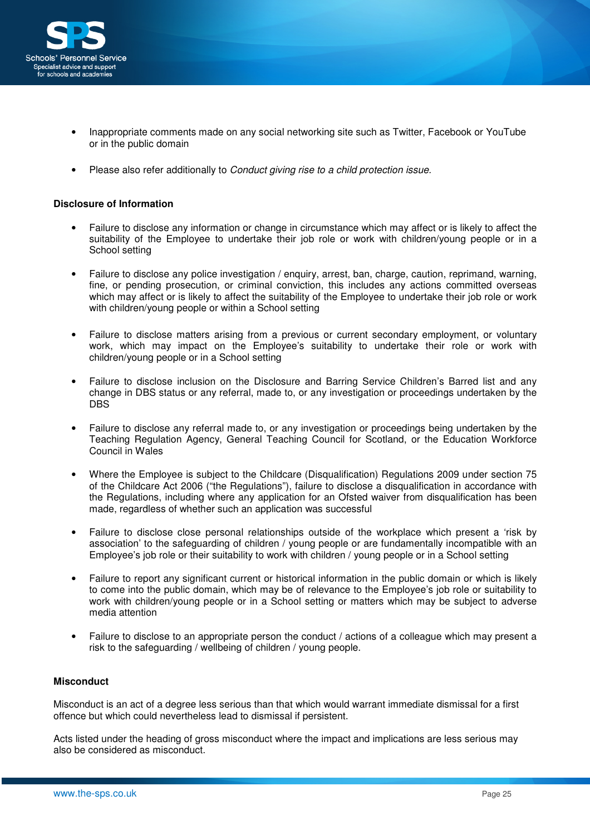

- Inappropriate comments made on any social networking site such as Twitter, Facebook or YouTube or in the public domain
- Please also refer additionally to Conduct giving rise to a child protection issue.

### **Disclosure of Information**

- Failure to disclose any information or change in circumstance which may affect or is likely to affect the suitability of the Employee to undertake their job role or work with children/young people or in a School setting
- Failure to disclose any police investigation / enquiry, arrest, ban, charge, caution, reprimand, warning, fine, or pending prosecution, or criminal conviction, this includes any actions committed overseas which may affect or is likely to affect the suitability of the Employee to undertake their job role or work with children/young people or within a School setting
- Failure to disclose matters arising from a previous or current secondary employment, or voluntary work, which may impact on the Employee's suitability to undertake their role or work with children/young people or in a School setting
- Failure to disclose inclusion on the Disclosure and Barring Service Children's Barred list and any change in DBS status or any referral, made to, or any investigation or proceedings undertaken by the DBS
- Failure to disclose any referral made to, or any investigation or proceedings being undertaken by the Teaching Regulation Agency, General Teaching Council for Scotland, or the Education Workforce Council in Wales
- Where the Employee is subject to the Childcare (Disqualification) Regulations 2009 under section 75 of the Childcare Act 2006 ("the Regulations"), failure to disclose a disqualification in accordance with the Regulations, including where any application for an Ofsted waiver from disqualification has been made, regardless of whether such an application was successful
- Failure to disclose close personal relationships outside of the workplace which present a 'risk by association' to the safeguarding of children / young people or are fundamentally incompatible with an Employee's job role or their suitability to work with children / young people or in a School setting
- Failure to report any significant current or historical information in the public domain or which is likely to come into the public domain, which may be of relevance to the Employee's job role or suitability to work with children/young people or in a School setting or matters which may be subject to adverse media attention
- Failure to disclose to an appropriate person the conduct / actions of a colleague which may present a risk to the safeguarding / wellbeing of children / young people.

#### **Misconduct**

Misconduct is an act of a degree less serious than that which would warrant immediate dismissal for a first offence but which could nevertheless lead to dismissal if persistent.

Acts listed under the heading of gross misconduct where the impact and implications are less serious may also be considered as misconduct.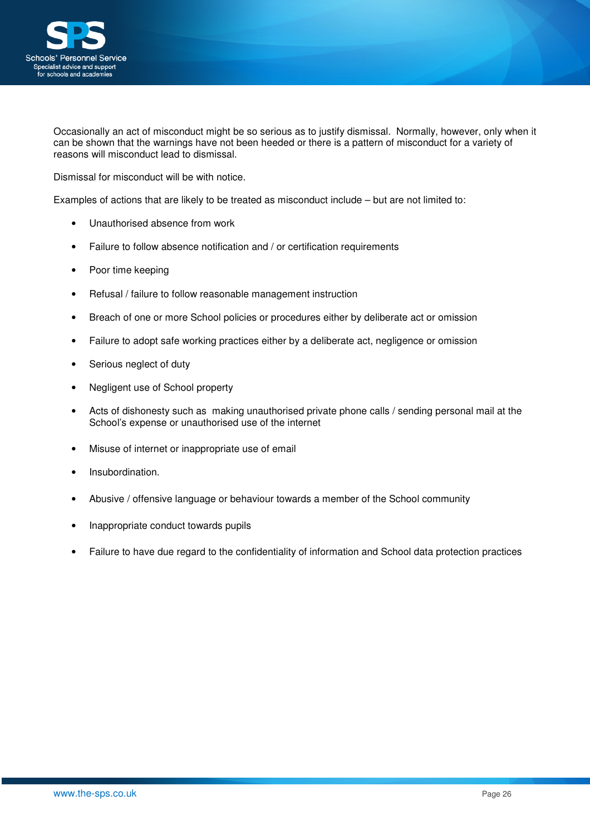

Occasionally an act of misconduct might be so serious as to justify dismissal. Normally, however, only when it can be shown that the warnings have not been heeded or there is a pattern of misconduct for a variety of reasons will misconduct lead to dismissal.

Dismissal for misconduct will be with notice.

Examples of actions that are likely to be treated as misconduct include – but are not limited to:

- Unauthorised absence from work
- Failure to follow absence notification and / or certification requirements
- Poor time keeping
- Refusal / failure to follow reasonable management instruction
- Breach of one or more School policies or procedures either by deliberate act or omission
- Failure to adopt safe working practices either by a deliberate act, negligence or omission
- Serious neglect of duty
- Negligent use of School property
- Acts of dishonesty such as making unauthorised private phone calls / sending personal mail at the School's expense or unauthorised use of the internet
- Misuse of internet or inappropriate use of email
- Insubordination.
- Abusive / offensive language or behaviour towards a member of the School community
- Inappropriate conduct towards pupils
- Failure to have due regard to the confidentiality of information and School data protection practices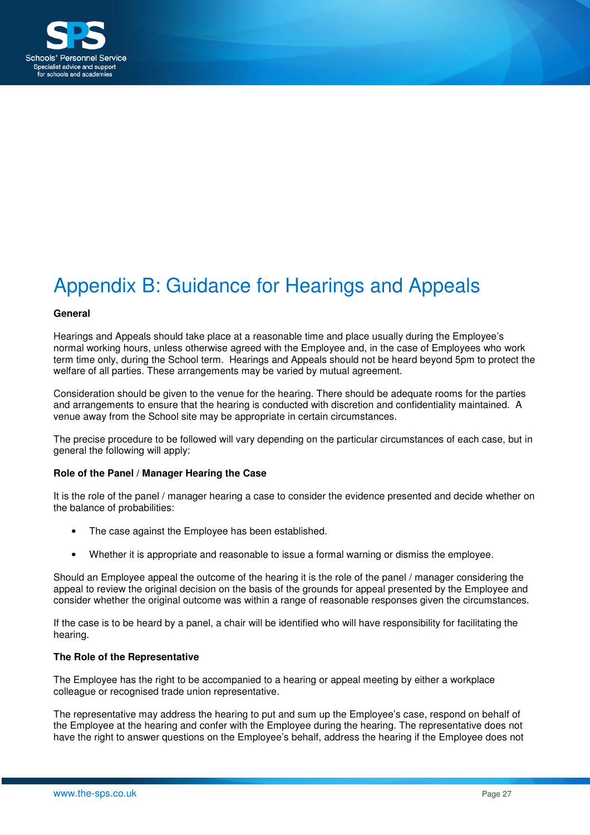

# Appendix B: Guidance for Hearings and Appeals

#### **General**

Hearings and Appeals should take place at a reasonable time and place usually during the Employee's normal working hours, unless otherwise agreed with the Employee and, in the case of Employees who work term time only, during the School term. Hearings and Appeals should not be heard beyond 5pm to protect the welfare of all parties. These arrangements may be varied by mutual agreement.

Consideration should be given to the venue for the hearing. There should be adequate rooms for the parties and arrangements to ensure that the hearing is conducted with discretion and confidentiality maintained. A venue away from the School site may be appropriate in certain circumstances.

The precise procedure to be followed will vary depending on the particular circumstances of each case, but in general the following will apply:

#### **Role of the Panel / Manager Hearing the Case**

It is the role of the panel / manager hearing a case to consider the evidence presented and decide whether on the balance of probabilities:

- The case against the Employee has been established.
- Whether it is appropriate and reasonable to issue a formal warning or dismiss the employee.

Should an Employee appeal the outcome of the hearing it is the role of the panel / manager considering the appeal to review the original decision on the basis of the grounds for appeal presented by the Employee and consider whether the original outcome was within a range of reasonable responses given the circumstances.

If the case is to be heard by a panel, a chair will be identified who will have responsibility for facilitating the hearing.

#### **The Role of the Representative**

The Employee has the right to be accompanied to a hearing or appeal meeting by either a workplace colleague or recognised trade union representative.

The representative may address the hearing to put and sum up the Employee's case, respond on behalf of the Employee at the hearing and confer with the Employee during the hearing. The representative does not have the right to answer questions on the Employee's behalf, address the hearing if the Employee does not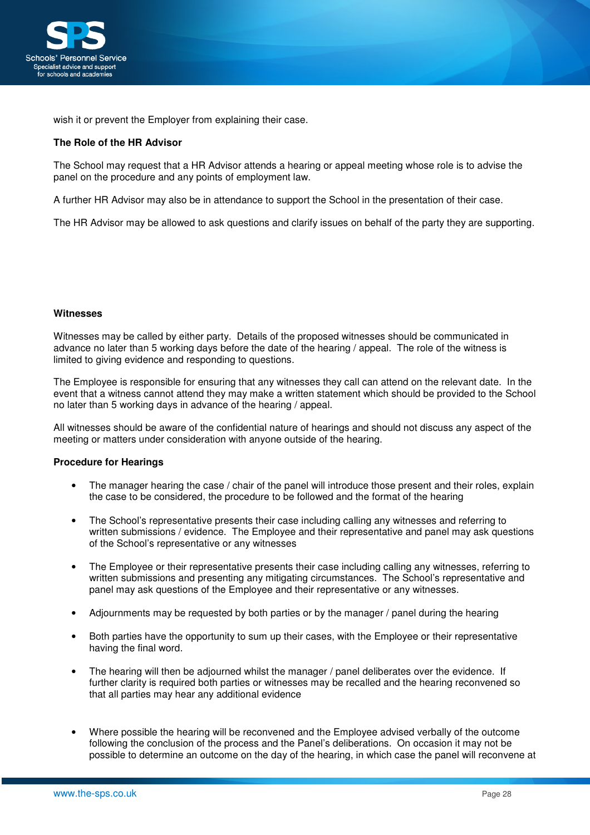

wish it or prevent the Employer from explaining their case.

#### **The Role of the HR Advisor**

The School may request that a HR Advisor attends a hearing or appeal meeting whose role is to advise the panel on the procedure and any points of employment law.

A further HR Advisor may also be in attendance to support the School in the presentation of their case.

The HR Advisor may be allowed to ask questions and clarify issues on behalf of the party they are supporting.

#### **Witnesses**

Witnesses may be called by either party. Details of the proposed witnesses should be communicated in advance no later than 5 working days before the date of the hearing / appeal. The role of the witness is limited to giving evidence and responding to questions.

The Employee is responsible for ensuring that any witnesses they call can attend on the relevant date. In the event that a witness cannot attend they may make a written statement which should be provided to the School no later than 5 working days in advance of the hearing / appeal.

All witnesses should be aware of the confidential nature of hearings and should not discuss any aspect of the meeting or matters under consideration with anyone outside of the hearing.

#### **Procedure for Hearings**

- The manager hearing the case / chair of the panel will introduce those present and their roles, explain the case to be considered, the procedure to be followed and the format of the hearing
- The School's representative presents their case including calling any witnesses and referring to written submissions / evidence. The Employee and their representative and panel may ask questions of the School's representative or any witnesses
- The Employee or their representative presents their case including calling any witnesses, referring to written submissions and presenting any mitigating circumstances. The School's representative and panel may ask questions of the Employee and their representative or any witnesses.
- Adjournments may be requested by both parties or by the manager / panel during the hearing
- Both parties have the opportunity to sum up their cases, with the Employee or their representative having the final word.
- The hearing will then be adjourned whilst the manager / panel deliberates over the evidence. If further clarity is required both parties or witnesses may be recalled and the hearing reconvened so that all parties may hear any additional evidence
- Where possible the hearing will be reconvened and the Employee advised verbally of the outcome following the conclusion of the process and the Panel's deliberations. On occasion it may not be possible to determine an outcome on the day of the hearing, in which case the panel will reconvene at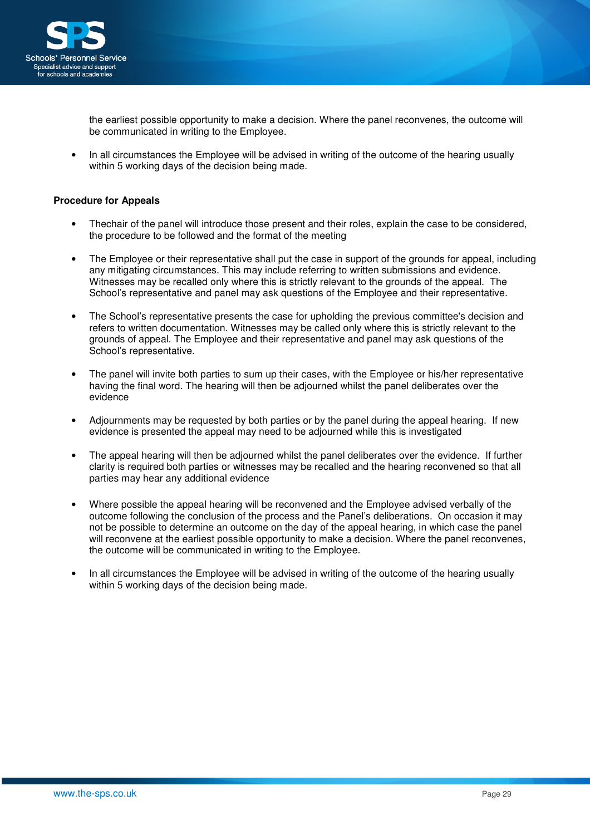

the earliest possible opportunity to make a decision. Where the panel reconvenes, the outcome will be communicated in writing to the Employee.

• In all circumstances the Employee will be advised in writing of the outcome of the hearing usually within 5 working days of the decision being made.

### **Procedure for Appeals**

- Thechair of the panel will introduce those present and their roles, explain the case to be considered, the procedure to be followed and the format of the meeting
- The Employee or their representative shall put the case in support of the grounds for appeal, including any mitigating circumstances. This may include referring to written submissions and evidence. Witnesses may be recalled only where this is strictly relevant to the grounds of the appeal. The School's representative and panel may ask questions of the Employee and their representative.
- The School's representative presents the case for upholding the previous committee's decision and refers to written documentation. Witnesses may be called only where this is strictly relevant to the grounds of appeal. The Employee and their representative and panel may ask questions of the School's representative.
- The panel will invite both parties to sum up their cases, with the Employee or his/her representative having the final word. The hearing will then be adjourned whilst the panel deliberates over the evidence
- Adjournments may be requested by both parties or by the panel during the appeal hearing. If new evidence is presented the appeal may need to be adjourned while this is investigated
- The appeal hearing will then be adjourned whilst the panel deliberates over the evidence. If further clarity is required both parties or witnesses may be recalled and the hearing reconvened so that all parties may hear any additional evidence
- Where possible the appeal hearing will be reconvened and the Employee advised verbally of the outcome following the conclusion of the process and the Panel's deliberations. On occasion it may not be possible to determine an outcome on the day of the appeal hearing, in which case the panel will reconvene at the earliest possible opportunity to make a decision. Where the panel reconvenes, the outcome will be communicated in writing to the Employee.
- In all circumstances the Employee will be advised in writing of the outcome of the hearing usually within 5 working days of the decision being made.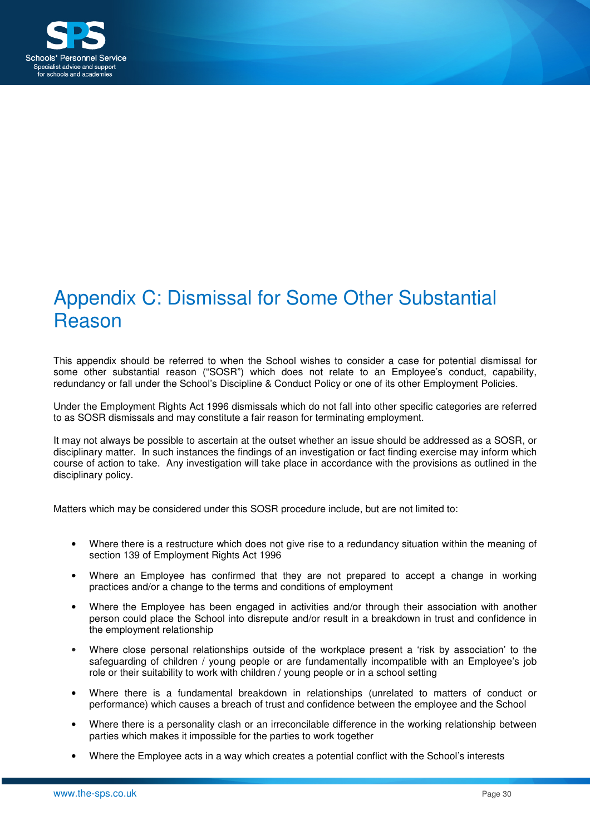

## Appendix C: Dismissal for Some Other Substantial Reason

This appendix should be referred to when the School wishes to consider a case for potential dismissal for some other substantial reason ("SOSR") which does not relate to an Employee's conduct, capability, redundancy or fall under the School's Discipline & Conduct Policy or one of its other Employment Policies.

Under the Employment Rights Act 1996 dismissals which do not fall into other specific categories are referred to as SOSR dismissals and may constitute a fair reason for terminating employment.

It may not always be possible to ascertain at the outset whether an issue should be addressed as a SOSR, or disciplinary matter. In such instances the findings of an investigation or fact finding exercise may inform which course of action to take. Any investigation will take place in accordance with the provisions as outlined in the disciplinary policy.

Matters which may be considered under this SOSR procedure include, but are not limited to:

- Where there is a restructure which does not give rise to a redundancy situation within the meaning of section 139 of Employment Rights Act 1996
- Where an Employee has confirmed that they are not prepared to accept a change in working practices and/or a change to the terms and conditions of employment
- Where the Employee has been engaged in activities and/or through their association with another person could place the School into disrepute and/or result in a breakdown in trust and confidence in the employment relationship
- Where close personal relationships outside of the workplace present a 'risk by association' to the safeguarding of children / young people or are fundamentally incompatible with an Employee's job role or their suitability to work with children / young people or in a school setting
- Where there is a fundamental breakdown in relationships (unrelated to matters of conduct or performance) which causes a breach of trust and confidence between the employee and the School
- Where there is a personality clash or an irreconcilable difference in the working relationship between parties which makes it impossible for the parties to work together
- Where the Employee acts in a way which creates a potential conflict with the School's interests